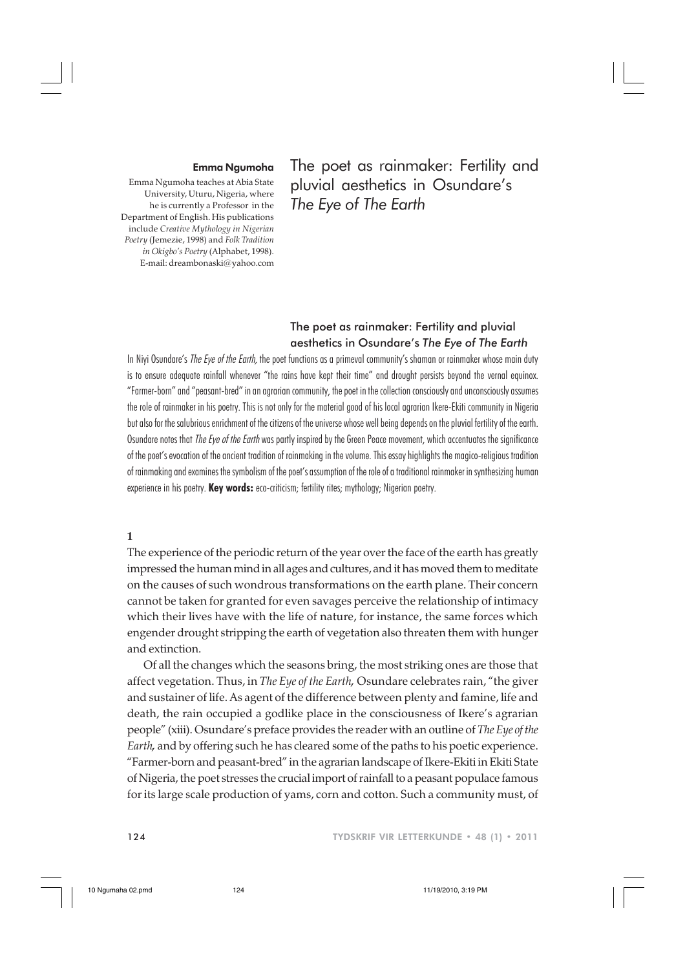#### Emma Ngumoha

# The poet as rainmaker: Fertility and pluvial aesthetics in Osundare's *The Eye of The Earth*

Emma Ngumoha teaches at Abia State University, Uturu, Nigeria, where he is currently a Professor in the Department of English. His publications include *Creative Mythology in Nigerian Poetry* (Jemezie, 1998) and *Folk Tradition in Okigbo's Poetry* (Alphabet, 1998). E-mail: dreambonaski@yahoo.com

# The poet as rainmaker: Fertility and pluvial aesthetics in Osundare's *The Eye of The Earth*

In Niyi Osundare's The Eye of the Earth, the poet functions as a primeval community's shaman or rainmaker whose main duty is to ensure adequate rainfall whenever "the rains have kept their time" and drought persists beyond the vernal equinox. "Farmer-born" and "peasant-bred" in an agrarian community, the poet in the collection consciously and unconsciously assumes the role of rainmaker in his poetry. This is not only for the material good of his local agrarian Ikere-Ekiti community in Nigeria but also for the salubrious enrichment of the citizens of the universe whose well being depends on the pluvial fertility of the earth. Osundare notes that The Eve of the Earth was partly inspired by the Green Peace movement, which accentuates the significance of the poet's evocation of the ancient tradition of rainmaking in the volume. This essay highlights the magico-religious tradition of rainmaking and examines the symbolism of the poet's assumption of the role of a traditional rainmaker in synthesizing human experience in his poetry. **Key words:** eco-criticism; fertility rites; mythology; Nigerian poetry.

## **1**

The experience of the periodic return of the year over the face of the earth has greatly impressed the human mind in all ages and cultures, and it has moved them to meditate on the causes of such wondrous transformations on the earth plane. Their concern cannot be taken for granted for even savages perceive the relationship of intimacy which their lives have with the life of nature, for instance, the same forces which engender drought stripping the earth of vegetation also threaten them with hunger and extinction.

Of all the changes which the seasons bring, the most striking ones are those that affect vegetation. Thus, in *The Eye of the Earth,* Osundare celebrates rain, "the giver and sustainer of life. As agent of the difference between plenty and famine, life and death, the rain occupied a godlike place in the consciousness of Ikere's agrarian people" (xiii). Osundare's preface provides the reader with an outline of *The Eye of the Earth,* and by offering such he has cleared some of the paths to his poetic experience. "Farmer-born and peasant-bred" in the agrarian landscape of Ikere-Ekiti in Ekiti State of Nigeria, the poet stresses the crucial import of rainfall to a peasant populace famous for its large scale production of yams, corn and cotton. Such a community must, of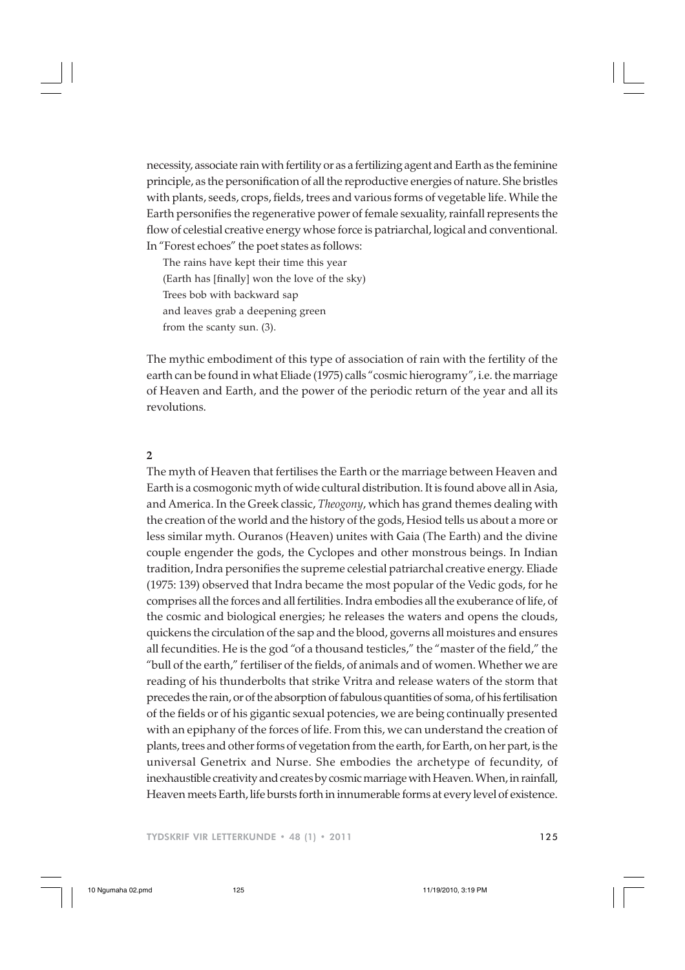necessity, associate rain with fertility or as a fertilizing agent and Earth as the feminine principle, as the personification of all the reproductive energies of nature. She bristles with plants, seeds, crops, fields, trees and various forms of vegetable life. While the Earth personifies the regenerative power of female sexuality, rainfall represents the flow of celestial creative energy whose force is patriarchal, logical and conventional. In "Forest echoes" the poet states as follows:

The rains have kept their time this year (Earth has [finally] won the love of the sky) Trees bob with backward sap and leaves grab a deepening green from the scanty sun. (3).

The mythic embodiment of this type of association of rain with the fertility of the earth can be found in what Eliade (1975) calls "cosmic hierogramy", i.e. the marriage of Heaven and Earth, and the power of the periodic return of the year and all its revolutions.

### **2**

The myth of Heaven that fertilises the Earth or the marriage between Heaven and Earth is a cosmogonic myth of wide cultural distribution. It is found above all in Asia, and America. In the Greek classic, *Theogony*, which has grand themes dealing with the creation of the world and the history of the gods, Hesiod tells us about a more or less similar myth. Ouranos (Heaven) unites with Gaia (The Earth) and the divine couple engender the gods, the Cyclopes and other monstrous beings. In Indian tradition, Indra personifies the supreme celestial patriarchal creative energy. Eliade (1975: 139) observed that Indra became the most popular of the Vedic gods, for he comprises all the forces and all fertilities. Indra embodies all the exuberance of life, of the cosmic and biological energies; he releases the waters and opens the clouds, quickens the circulation of the sap and the blood, governs all moistures and ensures all fecundities. He is the god "of a thousand testicles," the "master of the field," the "bull of the earth," fertiliser of the fields, of animals and of women. Whether we are reading of his thunderbolts that strike Vritra and release waters of the storm that precedes the rain, or of the absorption of fabulous quantities of soma, of his fertilisation of the fields or of his gigantic sexual potencies, we are being continually presented with an epiphany of the forces of life. From this, we can understand the creation of plants, trees and other forms of vegetation from the earth, for Earth, on her part, is the universal Genetrix and Nurse. She embodies the archetype of fecundity, of inexhaustible creativity and creates by cosmic marriage with Heaven. When, in rainfall, Heaven meets Earth, life bursts forth in innumerable forms at every level of existence.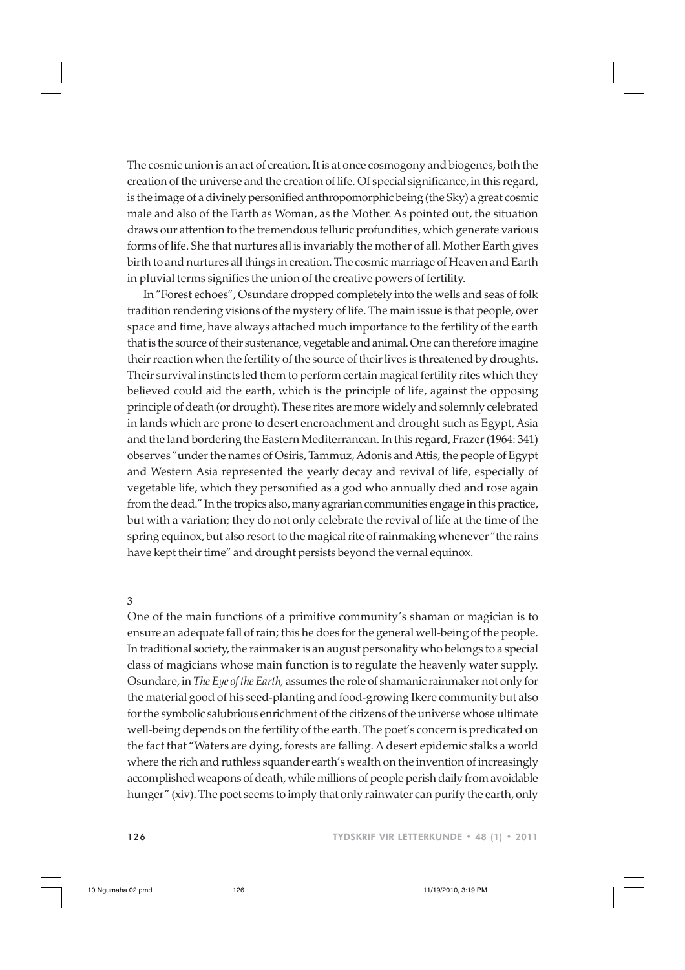The cosmic union is an act of creation. It is at once cosmogony and biogenes, both the creation of the universe and the creation of life. Of special significance, in this regard, is the image of a divinely personified anthropomorphic being (the Sky) a great cosmic male and also of the Earth as Woman, as the Mother. As pointed out, the situation draws our attention to the tremendous telluric profundities, which generate various forms of life. She that nurtures all is invariably the mother of all. Mother Earth gives birth to and nurtures all things in creation. The cosmic marriage of Heaven and Earth in pluvial terms signifies the union of the creative powers of fertility.

In "Forest echoes", Osundare dropped completely into the wells and seas of folk tradition rendering visions of the mystery of life. The main issue is that people, over space and time, have always attached much importance to the fertility of the earth that is the source of their sustenance, vegetable and animal. One can therefore imagine their reaction when the fertility of the source of their lives is threatened by droughts. Their survival instincts led them to perform certain magical fertility rites which they believed could aid the earth, which is the principle of life, against the opposing principle of death (or drought). These rites are more widely and solemnly celebrated in lands which are prone to desert encroachment and drought such as Egypt, Asia and the land bordering the Eastern Mediterranean. In this regard, Frazer (1964: 341) observes "under the names of Osiris, Tammuz, Adonis and Attis, the people of Egypt and Western Asia represented the yearly decay and revival of life, especially of vegetable life, which they personified as a god who annually died and rose again from the dead." In the tropics also, many agrarian communities engage in this practice, but with a variation; they do not only celebrate the revival of life at the time of the spring equinox, but also resort to the magical rite of rainmaking whenever "the rains have kept their time" and drought persists beyond the vernal equinox.

#### **3**

One of the main functions of a primitive community's shaman or magician is to ensure an adequate fall of rain; this he does for the general well-being of the people. In traditional society, the rainmaker is an august personality who belongs to a special class of magicians whose main function is to regulate the heavenly water supply. Osundare, in *The Eye of the Earth,* assumes the role of shamanic rainmaker not only for the material good of his seed-planting and food-growing Ikere community but also for the symbolic salubrious enrichment of the citizens of the universe whose ultimate well-being depends on the fertility of the earth. The poet's concern is predicated on the fact that "Waters are dying, forests are falling. A desert epidemic stalks a world where the rich and ruthless squander earth's wealth on the invention of increasingly accomplished weapons of death, while millions of people perish daily from avoidable hunger" (xiv). The poet seems to imply that only rainwater can purify the earth, only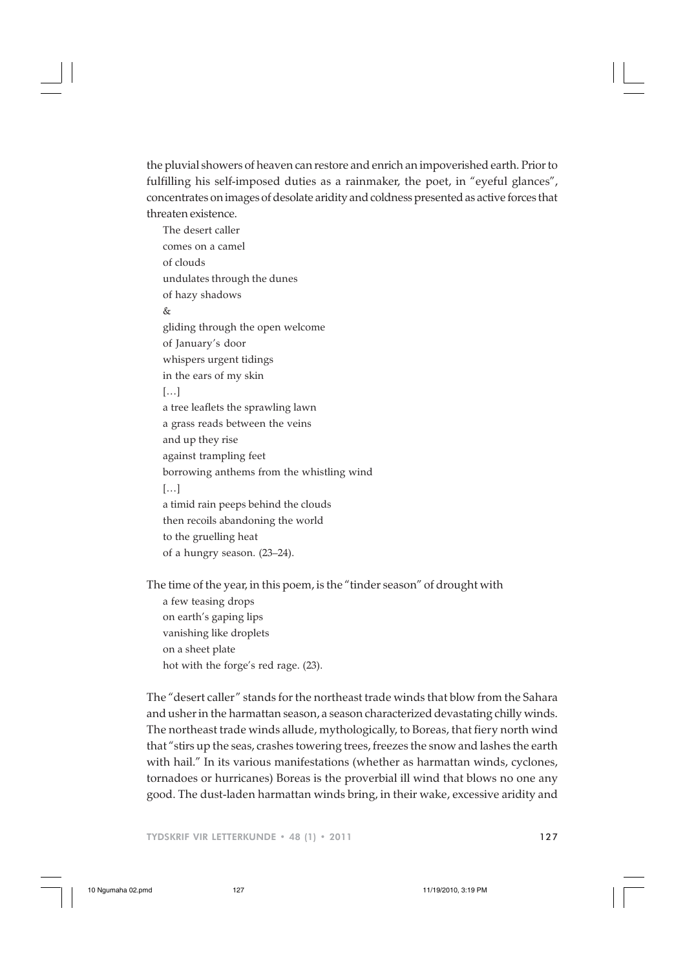the pluvial showers of heaven can restore and enrich an impoverished earth. Prior to fulfilling his self-imposed duties as a rainmaker, the poet, in "eyeful glances", concentrates on images of desolate aridity and coldness presented as active forces that threaten existence.

The desert caller comes on a camel of clouds undulates through the dunes of hazy shadows  $\&$ gliding through the open welcome of January's door whispers urgent tidings in the ears of my skin  $[...]$ a tree leaflets the sprawling lawn a grass reads between the veins and up they rise against trampling feet borrowing anthems from the whistling wind […] a timid rain peeps behind the clouds then recoils abandoning the world to the gruelling heat of a hungry season. (23–24).

The time of the year, in this poem, is the "tinder season" of drought with

a few teasing drops on earth's gaping lips vanishing like droplets on a sheet plate hot with the forge's red rage. (23).

The "desert caller" stands for the northeast trade winds that blow from the Sahara and usher in the harmattan season, a season characterized devastating chilly winds. The northeast trade winds allude, mythologically, to Boreas, that fiery north wind that "stirs up the seas, crashes towering trees, freezes the snow and lashes the earth with hail." In its various manifestations (whether as harmattan winds, cyclones, tornadoes or hurricanes) Boreas is the proverbial ill wind that blows no one any good. The dust-laden harmattan winds bring, in their wake, excessive aridity and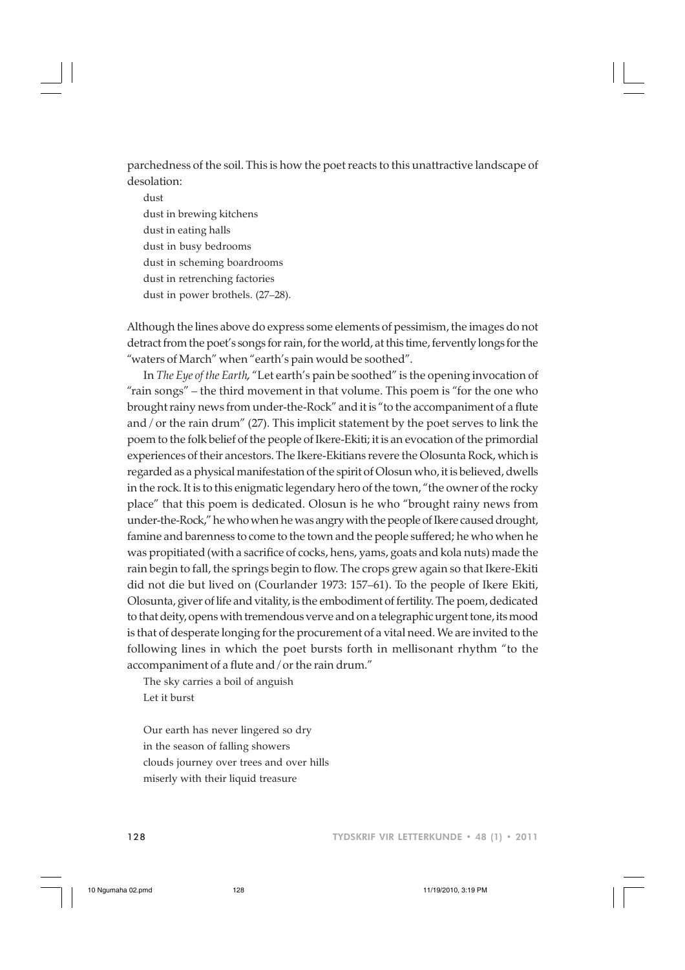parchedness of the soil. This is how the poet reacts to this unattractive landscape of desolation:

dust dust in brewing kitchens dust in eating halls dust in busy bedrooms dust in scheming boardrooms dust in retrenching factories dust in power brothels. (27–28).

Although the lines above do express some elements of pessimism, the images do not detract from the poet's songs for rain, for the world, at this time, fervently longs for the "waters of March" when "earth's pain would be soothed".

In *The Eye of the Earth,* "Let earth's pain be soothed" is the opening invocation of "rain songs" – the third movement in that volume. This poem is "for the one who brought rainy news from under-the-Rock" and it is "to the accompaniment of a flute and / or the rain drum" (27). This implicit statement by the poet serves to link the poem to the folk belief of the people of Ikere-Ekiti; it is an evocation of the primordial experiences of their ancestors. The Ikere-Ekitians revere the Olosunta Rock, which is regarded as a physical manifestation of the spirit of Olosun who, it is believed, dwells in the rock. It is to this enigmatic legendary hero of the town, "the owner of the rocky place" that this poem is dedicated. Olosun is he who "brought rainy news from under-the-Rock," he who when he was angry with the people of Ikere caused drought, famine and barenness to come to the town and the people suffered; he who when he was propitiated (with a sacrifice of cocks, hens, yams, goats and kola nuts) made the rain begin to fall, the springs begin to flow. The crops grew again so that Ikere-Ekiti did not die but lived on (Courlander 1973: 157–61). To the people of Ikere Ekiti, Olosunta, giver of life and vitality, is the embodiment of fertility. The poem, dedicated to that deity, opens with tremendous verve and on a telegraphic urgent tone, its mood is that of desperate longing for the procurement of a vital need. We are invited to the following lines in which the poet bursts forth in mellisonant rhythm "to the accompaniment of a flute and / or the rain drum."

The sky carries a boil of anguish Let it burst

Our earth has never lingered so dry in the season of falling showers clouds journey over trees and over hills miserly with their liquid treasure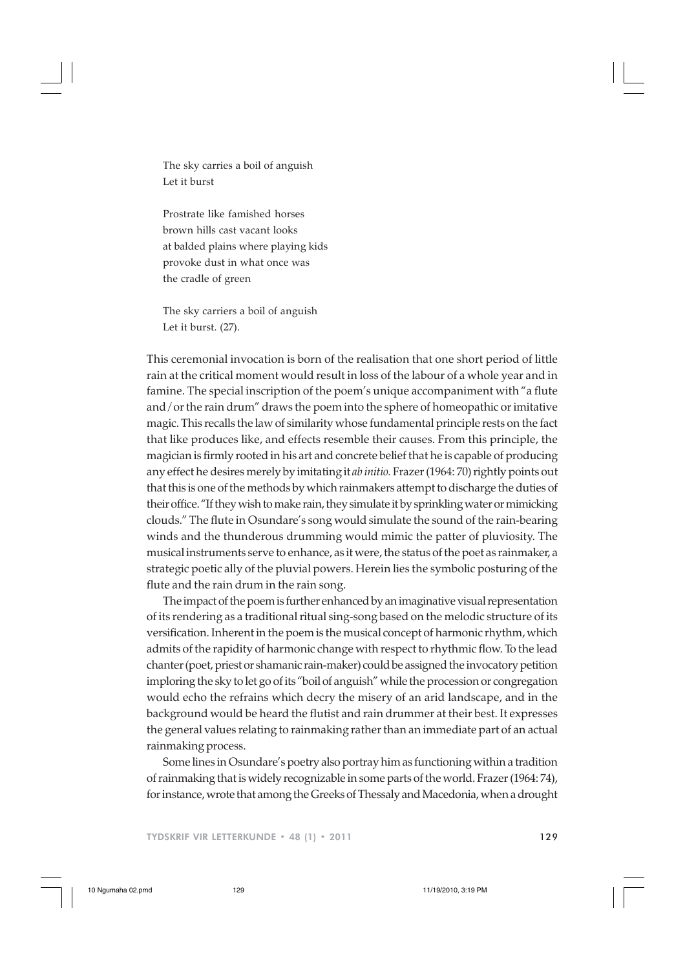The sky carries a boil of anguish Let it burst

Prostrate like famished horses brown hills cast vacant looks at balded plains where playing kids provoke dust in what once was the cradle of green

The sky carriers a boil of anguish Let it burst. (27).

This ceremonial invocation is born of the realisation that one short period of little rain at the critical moment would result in loss of the labour of a whole year and in famine. The special inscription of the poem's unique accompaniment with "a flute and / or the rain drum" draws the poem into the sphere of homeopathic or imitative magic. This recalls the law of similarity whose fundamental principle rests on the fact that like produces like, and effects resemble their causes. From this principle, the magician is firmly rooted in his art and concrete belief that he is capable of producing any effect he desires merely by imitating it *ab initio.* Frazer (1964: 70) rightly points out that this is one of the methods by which rainmakers attempt to discharge the duties of their office. "If they wish to make rain, they simulate it by sprinkling water or mimicking clouds." The flute in Osundare's song would simulate the sound of the rain-bearing winds and the thunderous drumming would mimic the patter of pluviosity. The musical instruments serve to enhance, as it were, the status of the poet as rainmaker, a strategic poetic ally of the pluvial powers. Herein lies the symbolic posturing of the flute and the rain drum in the rain song.

The impact of the poem is further enhanced by an imaginative visual representation of its rendering as a traditional ritual sing-song based on the melodic structure of its versification. Inherent in the poem is the musical concept of harmonic rhythm, which admits of the rapidity of harmonic change with respect to rhythmic flow. To the lead chanter (poet, priest or shamanic rain-maker) could be assigned the invocatory petition imploring the sky to let go of its "boil of anguish" while the procession or congregation would echo the refrains which decry the misery of an arid landscape, and in the background would be heard the flutist and rain drummer at their best. It expresses the general values relating to rainmaking rather than an immediate part of an actual rainmaking process.

Some lines in Osundare's poetry also portray him as functioning within a tradition of rainmaking that is widely recognizable in some parts of the world. Frazer (1964: 74), for instance, wrote that among the Greeks of Thessaly and Macedonia, when a drought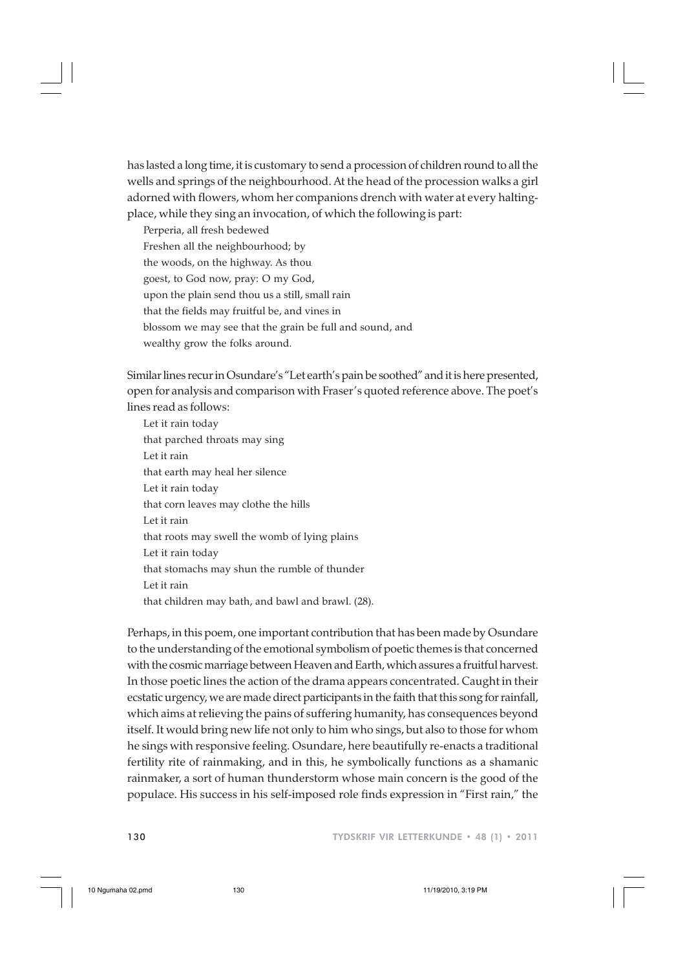has lasted a long time, it is customary to send a procession of children round to all the wells and springs of the neighbourhood. At the head of the procession walks a girl adorned with flowers, whom her companions drench with water at every haltingplace, while they sing an invocation, of which the following is part:

Perperia, all fresh bedewed Freshen all the neighbourhood; by the woods, on the highway. As thou goest, to God now, pray: O my God, upon the plain send thou us a still, small rain that the fields may fruitful be, and vines in blossom we may see that the grain be full and sound, and wealthy grow the folks around.

Similar lines recur in Osundare's "Let earth's pain be soothed" and it is here presented, open for analysis and comparison with Fraser's quoted reference above. The poet's lines read as follows:

Let it rain today that parched throats may sing Let it rain that earth may heal her silence Let it rain today that corn leaves may clothe the hills Let it rain that roots may swell the womb of lying plains Let it rain today that stomachs may shun the rumble of thunder Let it rain that children may bath, and bawl and brawl. (28).

Perhaps, in this poem, one important contribution that has been made by Osundare to the understanding of the emotional symbolism of poetic themes is that concerned with the cosmic marriage between Heaven and Earth, which assures a fruitful harvest. In those poetic lines the action of the drama appears concentrated. Caught in their ecstatic urgency, we are made direct participants in the faith that this song for rainfall, which aims at relieving the pains of suffering humanity, has consequences beyond itself. It would bring new life not only to him who sings, but also to those for whom he sings with responsive feeling. Osundare, here beautifully re-enacts a traditional fertility rite of rainmaking, and in this, he symbolically functions as a shamanic rainmaker, a sort of human thunderstorm whose main concern is the good of the populace. His success in his self-imposed role finds expression in "First rain," the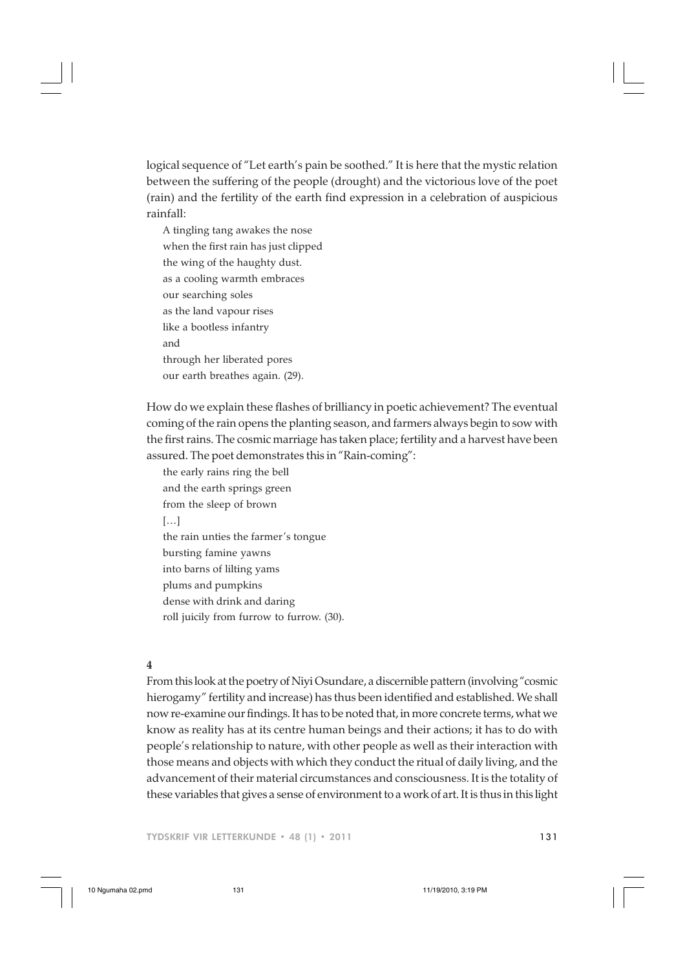logical sequence of "Let earth's pain be soothed." It is here that the mystic relation between the suffering of the people (drought) and the victorious love of the poet (rain) and the fertility of the earth find expression in a celebration of auspicious rainfall:

A tingling tang awakes the nose when the first rain has just clipped the wing of the haughty dust. as a cooling warmth embraces our searching soles as the land vapour rises like a bootless infantry and through her liberated pores our earth breathes again. (29).

How do we explain these flashes of brilliancy in poetic achievement? The eventual coming of the rain opens the planting season, and farmers always begin to sow with the first rains. The cosmic marriage has taken place; fertility and a harvest have been assured. The poet demonstrates this in "Rain-coming":

the early rains ring the bell and the earth springs green from the sleep of brown  $[\dots]$ the rain unties the farmer's tongue bursting famine yawns into barns of lilting yams plums and pumpkins dense with drink and daring roll juicily from furrow to furrow. (30).

#### **4**

From this look at the poetry of Niyi Osundare, a discernible pattern (involving "cosmic hierogamy" fertility and increase) has thus been identified and established. We shall now re-examine our findings. It has to be noted that, in more concrete terms, what we know as reality has at its centre human beings and their actions; it has to do with people's relationship to nature, with other people as well as their interaction with those means and objects with which they conduct the ritual of daily living, and the advancement of their material circumstances and consciousness. It is the totality of these variables that gives a sense of environment to a work of art. It is thus in this light